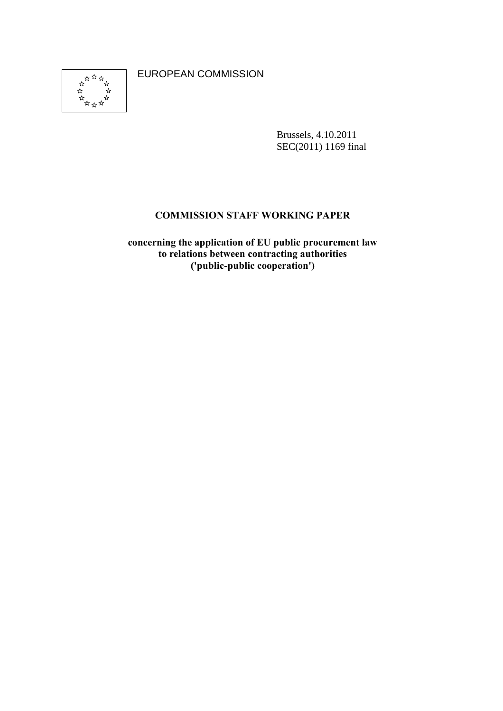EUROPEAN COMMISSION



Brussels, 4.10.2011 SEC(2011) 1169 final

## **COMMISSION STAFF WORKING PAPER**

**concerning the application of EU public procurement law to relations between contracting authorities ('public-public cooperation')**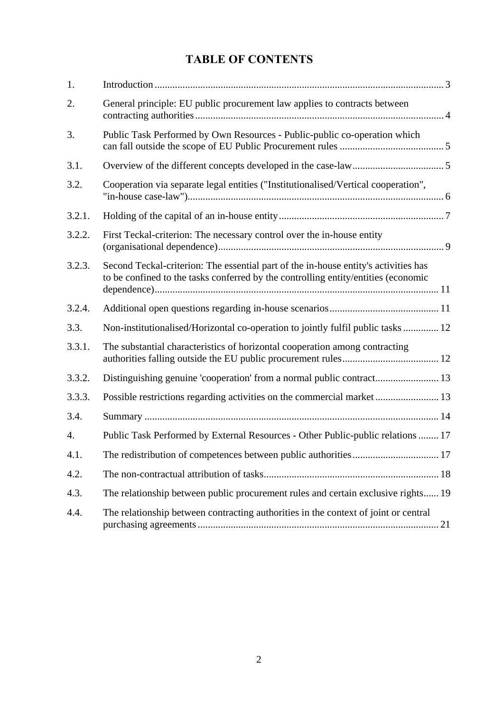# **TABLE OF CONTENTS**

| 1.     |                                                                                                                                                                           |  |
|--------|---------------------------------------------------------------------------------------------------------------------------------------------------------------------------|--|
| 2.     | General principle: EU public procurement law applies to contracts between                                                                                                 |  |
| 3.     | Public Task Performed by Own Resources - Public-public co-operation which                                                                                                 |  |
| 3.1.   |                                                                                                                                                                           |  |
| 3.2.   | Cooperation via separate legal entities ("Institutionalised/Vertical cooperation",                                                                                        |  |
| 3.2.1. |                                                                                                                                                                           |  |
| 3.2.2. | First Teckal-criterion: The necessary control over the in-house entity                                                                                                    |  |
| 3.2.3. | Second Teckal-criterion: The essential part of the in-house entity's activities has<br>to be confined to the tasks conferred by the controlling entity/entities (economic |  |
| 3.2.4. |                                                                                                                                                                           |  |
| 3.3.   | Non-institutionalised/Horizontal co-operation to jointly fulfil public tasks  12                                                                                          |  |
| 3.3.1. | The substantial characteristics of horizontal cooperation among contracting                                                                                               |  |
| 3.3.2. | Distinguishing genuine 'cooperation' from a normal public contract 13                                                                                                     |  |
| 3.3.3. | Possible restrictions regarding activities on the commercial market 13                                                                                                    |  |
| 3.4.   |                                                                                                                                                                           |  |
| 4.     | Public Task Performed by External Resources - Other Public-public relations  17                                                                                           |  |
| 4.1    |                                                                                                                                                                           |  |
| 4.2.   |                                                                                                                                                                           |  |
| 4.3.   | The relationship between public procurement rules and certain exclusive rights 19                                                                                         |  |
| 4.4.   | The relationship between contracting authorities in the context of joint or central                                                                                       |  |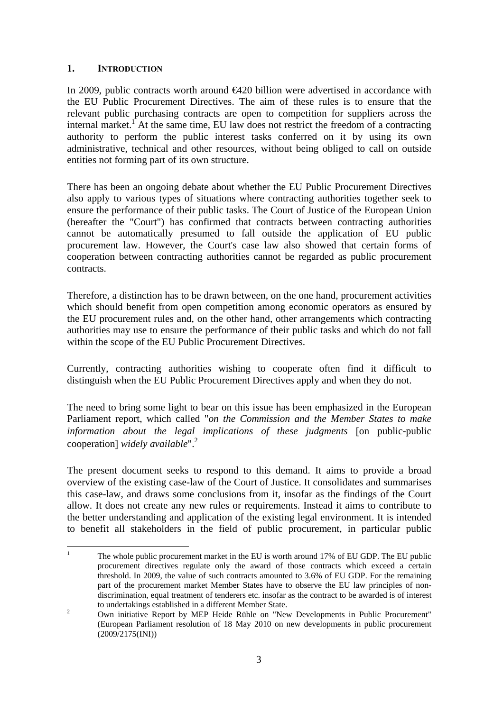#### <span id="page-2-0"></span>**1. INTRODUCTION**

In 2009, public contracts worth around €420 billion were advertised in accordance with the EU Public Procurement Directives. The aim of these rules is to ensure that the relevant public purchasing contracts are open to competition for suppliers across the internal market.<sup>1</sup> At the same time, EU law does not restrict the freedom of a contracting authority to perform the public interest tasks conferred on it by using its own administrative, technical and other resources, without being obliged to call on outside entities not forming part of its own structure.

There has been an ongoing debate about whether the EU Public Procurement Directives also apply to various types of situations where contracting authorities together seek to ensure the performance of their public tasks. The Court of Justice of the European Union (hereafter the "Court") has confirmed that contracts between contracting authorities cannot be automatically presumed to fall outside the application of EU public procurement law. However, the Court's case law also showed that certain forms of cooperation between contracting authorities cannot be regarded as public procurement contracts.

Therefore, a distinction has to be drawn between, on the one hand, procurement activities which should benefit from open competition among economic operators as ensured by the EU procurement rules and, on the other hand, other arrangements which contracting authorities may use to ensure the performance of their public tasks and which do not fall within the scope of the EU Public Procurement Directives.

Currently, contracting authorities wishing to cooperate often find it difficult to distinguish when the EU Public Procurement Directives apply and when they do not.

The need to bring some light to bear on this issue has been emphasized in the European Parliament report, which called "*on the Commission and the Member States to make information about the legal implications of these judgments* [on public-public cooperation] *widely available*".2

The present document seeks to respond to this demand. It aims to provide a broad overview of the existing case-law of the Court of Justice. It consolidates and summarises this case-law, and draws some conclusions from it, insofar as the findings of the Court allow. It does not create any new rules or requirements. Instead it aims to contribute to the better understanding and application of the existing legal environment. It is intended to benefit all stakeholders in the field of public procurement, in particular public

 $\frac{1}{1}$  The whole public procurement market in the EU is worth around 17% of EU GDP. The EU public procurement directives regulate only the award of those contracts which exceed a certain threshold. In 2009, the value of such contracts amounted to 3.6% of EU GDP. For the remaining part of the procurement market Member States have to observe the EU law principles of nondiscrimination, equal treatment of tenderers etc. insofar as the contract to be awarded is of interest to undertakings established in a different Member State.

Own initiative Report by MEP Heide Rühle on ["New Developments in Public Procurement"](http://www.europarl.europa.eu/sides/getDoc.do?type=TA&reference=P7-TA-2010-0173&language=EN&ring=A7-2010-0151) (European Parliament resolution of 18 May 2010 on new developments in public procurement [\(2009/2175\(INI\)\)](http://www.europarl.europa.eu/oeil/FindByProcnum.do?lang=en&procnum=INI/2009/2175)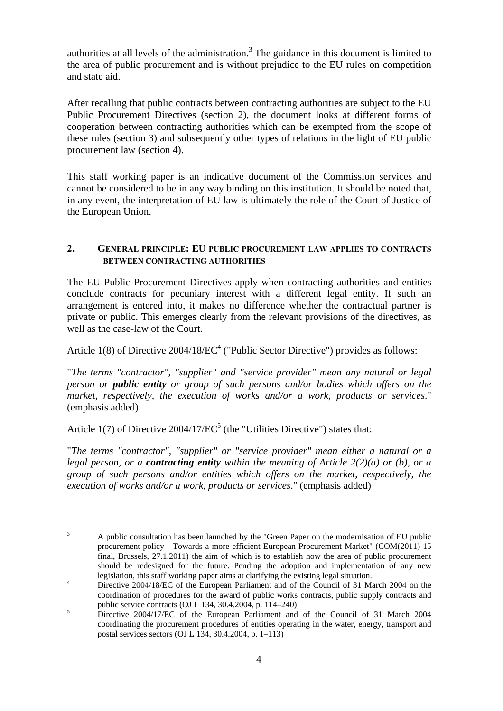authorities at all levels of the administration.<sup>3</sup> The guidance in this document is limited to the area of public procurement and is without prejudice to the EU rules on competition and state aid.

After recalling that public contracts between contracting authorities are subject to the EU Public Procurement Directives (section 2), the document looks at different forms of cooperation between contracting authorities which can be exempted from the scope of these rules (section 3) and subsequently other types of relations in the light of EU public procurement law (section 4).

This staff working paper is an indicative document of the Commission services and cannot be considered to be in any way binding on this institution. It should be noted that, in any event, the interpretation of EU law is ultimately the role of the Court of Justice of the European Union.

#### <span id="page-3-0"></span>**2. GENERAL PRINCIPLE: EU PUBLIC PROCUREMENT LAW APPLIES TO CONTRACTS BETWEEN CONTRACTING AUTHORITIES**

The EU Public Procurement Directives apply when contracting authorities and entities conclude contracts for pecuniary interest with a different legal entity. If such an arrangement is entered into, it makes no difference whether the contractual partner is private or public. This emerges clearly from the relevant provisions of the directives, as well as the case-law of the Court.

Article  $1(8)$  of Directive  $2004/18/EC^4$  ("Public Sector Directive") provides as follows:

"*The terms "contractor", "supplier" and "service provider" mean any natural or legal person or public entity or group of such persons and/or bodies which offers on the market, respectively, the execution of works and/or a work, products or services*." (emphasis added)

Article  $1(7)$  of Directive  $2004/17/EC^5$  (the "Utilities Directive") states that:

"*The terms "contractor", "supplier" or "service provider" mean either a natural or a legal person, or a contracting entity within the meaning of Article 2(2)(a) or (b), or a group of such persons and/or entities which offers on the market, respectively, the execution of works and/or a work, products or services*." (emphasis added)

 3 A public consultation has been launched by the "Green Paper on the modernisation of EU public procurement policy - Towards a more efficient European Procurement Market" (COM(2011) 15 final, Brussels, 27.1.2011) the aim of which is to establish how the area of public procurement should be redesigned for the future. Pending the adoption and implementation of any new legislation, this staff working paper aims at clarifying the existing legal situation.

Directive 2004/18/EC of the European Parliament and of the Council of 31 March 2004 on the coordination of procedures for the award of public works contracts, public supply contracts and public service contracts (OJ L 134, 30.4.2004, p. 114–240)

Directive 2004/17/EC of the European Parliament and of the Council of 31 March 2004 coordinating the procurement procedures of entities operating in the water, energy, transport and postal services sectors (OJ L 134, 30.4.2004, p. 1–113)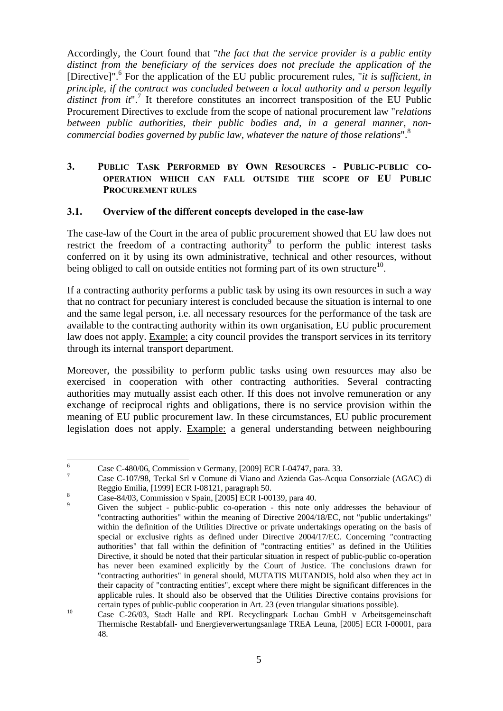Accordingly, the Court found that "*the fact that the service provider is a public entity distinct from the beneficiary of the services does not preclude the application of the* [Directive]".<sup>6</sup> For the application of the EU public procurement rules, "*it is sufficient, in principle, if the contract was concluded between a local authority and a person legally*  distinct from it".<sup>7</sup> It therefore constitutes an incorrect transposition of the EU Public Procurement Directives to exclude from the scope of national procurement law "*relations between public authorities, their public bodies and, in a general manner, noncommercial bodies governed by public law, whatever the nature of those relations*".8

#### <span id="page-4-0"></span>**3. PUBLIC TASK PERFORMED BY OWN RESOURCES - PUBLIC-PUBLIC CO-OPERATION WHICH CAN FALL OUTSIDE THE SCOPE OF EU PUBLIC PROCUREMENT RULES**

#### <span id="page-4-1"></span>**3.1. Overview of the different concepts developed in the case-law**

The case-law of the Court in the area of public procurement showed that EU law does not restrict the freedom of a contracting authority<sup>9</sup> to perform the public interest tasks conferred on it by using its own administrative, technical and other resources, without being obliged to call on outside entities not forming part of its own structure $10$ .

If a contracting authority performs a public task by using its own resources in such a way that no contract for pecuniary interest is concluded because the situation is internal to one and the same legal person, i.e. all necessary resources for the performance of the task are available to the contracting authority within its own organisation, EU public procurement law does not apply. Example: a city council provides the transport services in its territory through its internal transport department.

Moreover, the possibility to perform public tasks using own resources may also be exercised in cooperation with other contracting authorities. Several contracting authorities may mutually assist each other. If this does not involve remuneration or any exchange of reciprocal rights and obligations, there is no service provision within the meaning of EU public procurement law. In these circumstances, EU public procurement legislation does not apply. Example: a general understanding between neighbouring

 $\frac{1}{6}$ Case C-480/06, Commission v Germany, [2009] ECR I-04747, para. 33.

<sup>7</sup> Case C-107/98, Teckal Srl v Comune di Viano and Azienda Gas-Acqua Consorziale (AGAC) di Reggio Emilia,  $[1999]$  ECR I-08121, paragraph 50.<br>  $\frac{8}{2}$  Cess  $\frac{84}{12}$  Commission v Spain  $[2005]$  ECR I 00

Case-84/03, Commission v Spain, [2005] ECR I-00139, para 40. 9

Given the subject - public-public co-operation - this note only addresses the behaviour of "contracting authorities" within the meaning of Directive 2004/18/EC, not "public undertakings" within the definition of the Utilities Directive or private undertakings operating on the basis of special or exclusive rights as defined under Directive 2004/17/EC. Concerning "contracting authorities" that fall within the definition of "contracting entities" as defined in the Utilities Directive, it should be noted that their particular situation in respect of public-public co-operation has never been examined explicitly by the Court of Justice. The conclusions drawn for "contracting authorities" in general should, MUTATIS MUTANDIS, hold also when they act in their capacity of "contracting entities", except where there might be significant differences in the applicable rules. It should also be observed that the Utilities Directive contains provisions for

certain types of public-public cooperation in Art. 23 (even triangular situations possible). 10 Case C-26/03, Stadt Halle and RPL Recyclingpark Lochau GmbH v Arbeitsgemeinschaft Thermische Restabfall- und Energieverwertungsanlage TREA Leuna, [2005] ECR I-00001, para 48.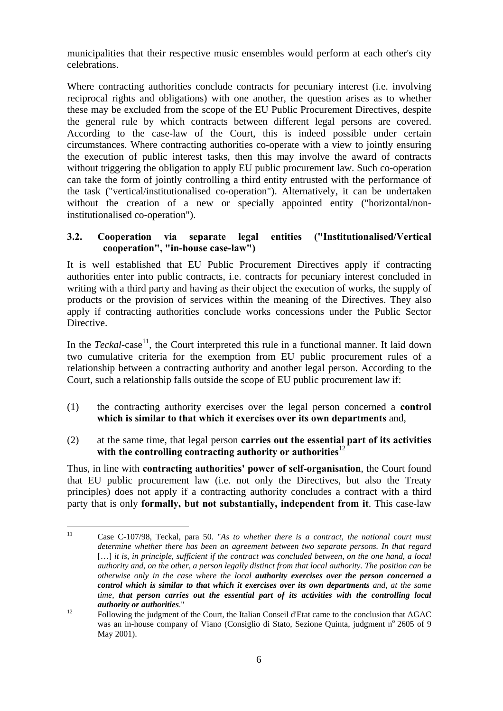municipalities that their respective music ensembles would perform at each other's city celebrations.

Where contracting authorities conclude contracts for pecuniary interest (i.e. involving reciprocal rights and obligations) with one another, the question arises as to whether these may be excluded from the scope of the EU Public Procurement Directives, despite the general rule by which contracts between different legal persons are covered. According to the case-law of the Court, this is indeed possible under certain circumstances. Where contracting authorities co-operate with a view to jointly ensuring the execution of public interest tasks, then this may involve the award of contracts without triggering the obligation to apply EU public procurement law. Such co-operation can take the form of jointly controlling a third entity entrusted with the performance of the task ("vertical/institutionalised co-operation"). Alternatively, it can be undertaken without the creation of a new or specially appointed entity ("horizontal/noninstitutionalised co-operation").

#### <span id="page-5-0"></span>**3.2. Cooperation via separate legal entities ("Institutionalised/Vertical cooperation", "in-house case-law")**

It is well established that EU Public Procurement Directives apply if contracting authorities enter into public contracts, i.e. contracts for pecuniary interest concluded in writing with a third party and having as their object the execution of works, the supply of products or the provision of services within the meaning of the Directives. They also apply if contracting authorities conclude works concessions under the Public Sector Directive.

In the *Teckal*-case<sup>11</sup>, the Court interpreted this rule in a functional manner. It laid down two cumulative criteria for the exemption from EU public procurement rules of a relationship between a contracting authority and another legal person. According to the Court, such a relationship falls outside the scope of EU public procurement law if:

- (1) the contracting authority exercises over the legal person concerned a **control which is similar to that which it exercises over its own departments** and,
- (2) at the same time, that legal person **carries out the essential part of its activities**  with the controlling contracting authority or authorities<sup>12</sup>

Thus, in line with **contracting authorities' power of self-organisation**, the Court found that EU public procurement law (i.e. not only the Directives, but also the Treaty principles) does not apply if a contracting authority concludes a contract with a third party that is only **formally, but not substantially, independent from it**. This case-law

 $11<sup>1</sup>$ 11 Case C-107/98, Teckal, para 50. "*As to whether there is a contract, the national court must determine whether there has been an agreement between two separate persons. In that regard*  [...] it is, in principle, sufficient if the contract was concluded between, on the one hand, a local *authority and, on the other, a person legally distinct from that local authority. The position can be otherwise only in the case where the local authority exercises over the person concerned a control which is similar to that which it exercises over its own departments and, at the same time, that person carries out the essential part of its activities with the controlling local* 

*authority or authorities*."<br><sup>12</sup> Following the judgment of the Court, the Italian Conseil d'Etat came to the conclusion that AGAC was an in-house company of Viano (Consiglio di Stato, Sezione Quinta, judgment  $n^{\circ}$  2605 of 9 May 2001).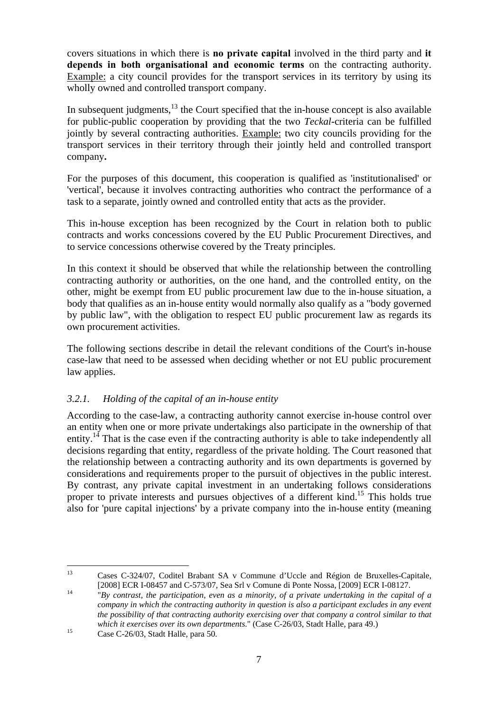covers situations in which there is **no private capital** involved in the third party and **it depends in both organisational and economic terms** on the contracting authority. Example: a city council provides for the transport services in its territory by using its wholly owned and controlled transport company.

In subsequent judgments, $^{13}$  the Court specified that the in-house concept is also available for public-public cooperation by providing that the two *Teckal*-criteria can be fulfilled jointly by several contracting authorities. Example: two city councils providing for the transport services in their territory through their jointly held and controlled transport company**.** 

For the purposes of this document, this cooperation is qualified as 'institutionalised' or 'vertical', because it involves contracting authorities who contract the performance of a task to a separate, jointly owned and controlled entity that acts as the provider.

This in-house exception has been recognized by the Court in relation both to public contracts and works concessions covered by the EU Public Procurement Directives, and to service concessions otherwise covered by the Treaty principles.

In this context it should be observed that while the relationship between the controlling contracting authority or authorities, on the one hand, and the controlled entity, on the other, might be exempt from EU public procurement law due to the in-house situation, a body that qualifies as an in-house entity would normally also qualify as a "body governed by public law", with the obligation to respect EU public procurement law as regards its own procurement activities.

The following sections describe in detail the relevant conditions of the Court's in-house case-law that need to be assessed when deciding whether or not EU public procurement law applies.

## <span id="page-6-0"></span>*3.2.1. Holding of the capital of an in-house entity*

According to the case-law, a contracting authority cannot exercise in-house control over an entity when one or more private undertakings also participate in the ownership of that entity.<sup>14</sup> That is the case even if the contracting authority is able to take independently all decisions regarding that entity, regardless of the private holding. The Court reasoned that the relationship between a contracting authority and its own departments is governed by considerations and requirements proper to the pursuit of objectives in the public interest. By contrast, any private capital investment in an undertaking follows considerations proper to private interests and pursues objectives of a different kind.<sup>15</sup> This holds true also for 'pure capital injections' by a private company into the in-house entity (meaning

<sup>13</sup> 13 Cases C-324/07, Coditel Brabant SA v Commune d'Uccle and Région de Bruxelles-Capitale,

<sup>[2008]</sup> ECR I-08457 and C-573/07, Sea Srl v Comune di Ponte Nossa, [2009] ECR I-08127. 14 "*By contrast, the participation, even as a minority, of a private undertaking in the capital of a company in which the contracting authority in question is also a participant excludes in any event the possibility of that contracting authority exercising over that company a control similar to that which it exercises over its own departments*." (Case C-26/03, Stadt Halle, para 49.)<br>
Case C-26/03, Stadt Halle, para 50.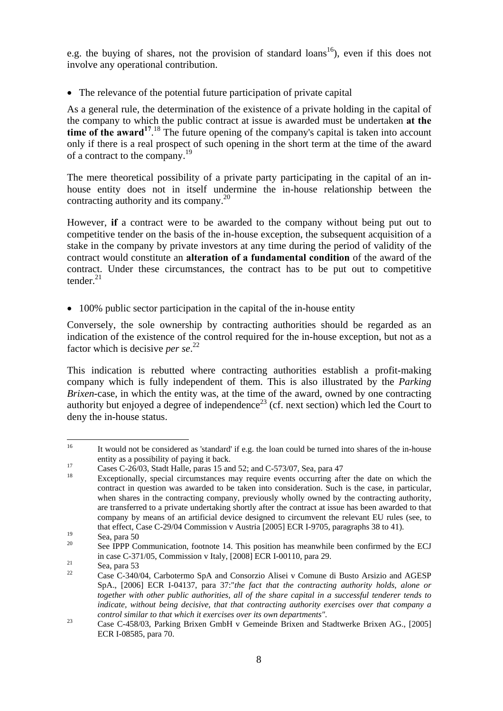e.g. the buying of shares, not the provision of standard  $\{$ loans<sup>16</sup>), even if this does not involve any operational contribution.

• The relevance of the potential future participation of private capital

As a general rule, the determination of the existence of a private holding in the capital of the company to which the public contract at issue is awarded must be undertaken **at the**  time of the award<sup>17</sup>.<sup>18</sup> The future opening of the company's capital is taken into account only if there is a real prospect of such opening in the short term at the time of the award of a contract to the company.<sup>19</sup>

The mere theoretical possibility of a private party participating in the capital of an inhouse entity does not in itself undermine the in-house relationship between the contracting authority and its company.<sup>20</sup>

However, **if** a contract were to be awarded to the company without being put out to competitive tender on the basis of the in-house exception, the subsequent acquisition of a stake in the company by private investors at any time during the period of validity of the contract would constitute an **alteration of a fundamental condition** of the award of the contract. Under these circumstances, the contract has to be put out to competitive tender. $^{21}$ 

• 100% public sector participation in the capital of the in-house entity

Conversely, the sole ownership by contracting authorities should be regarded as an indication of the existence of the control required for the in-house exception, but not as a factor which is decisive *per se*. 22

This indication is rebutted where contracting authorities establish a profit-making company which is fully independent of them. This is also illustrated by the *Parking Brixen*-case, in which the entity was, at the time of the award, owned by one contracting authority but enjoyed a degree of independence<sup>23</sup> (cf. next section) which led the Court to deny the in-house status.

<sup>16</sup> 16 It would not be considered as 'standard' if e.g. the loan could be turned into shares of the in-house

entity as a possibility of paying it back.<br>
Cases C-26/03, Stadt Halle, paras 15 and 52; and C-573/07, Sea, para 47<br>
<sup>18</sup>

Exceptionally, special circumstances may require events occurring after the date on which the contract in question was awarded to be taken into consideration. Such is the case, in particular, when shares in the contracting company, previously wholly owned by the contracting authority, are transferred to a private undertaking shortly after the contract at issue has been awarded to that company by means of an artificial device designed to circumvent the relevant EU rules (see, to that effect, Case C-29/04 Commission v Austria [2005] ECR I-9705, paragraphs 38 to 41).

 $\frac{19}{20}$  Sea, para 50

See IPPP Communication, footnote 14. This position has meanwhile been confirmed by the ECJ in case C-371/05, Commission v Italy, [2008] ECR I-00110, para 29.<br>
Sea, para 53<br>
Cose G 340/04, Corbotarmo Sp A and Conservice Alisei v Comune of

<sup>22</sup> Case C-340/04, Carbotermo SpA and Consorzio Alisei v Comune di Busto Arsizio and AGESP SpA., [2006] ECR I-04137, para 37:"*the fact that the contracting authority holds, alone or together with other public authorities, all of the share capital in a successful tenderer tends to indicate, without being decisive, that that contracting authority exercises over that company a* 

*control similar to that which it exercises over its own departments".* 23 Case C-458/03, Parking Brixen GmbH v Gemeinde Brixen and Stadtwerke Brixen AG., [2005] ECR I-08585, para 70.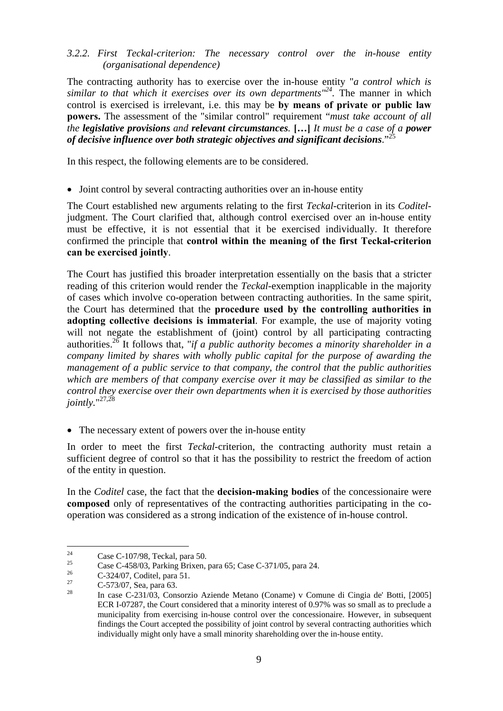## <span id="page-8-0"></span>*3.2.2. First Teckal-criterion: The necessary control over the in-house entity (organisational dependence)*

The contracting authority has to exercise over the in-house entity "*a control which is similar to that which it exercises over its own departments"24.* The manner in which control is exercised is irrelevant, i.e. this may be **by means of private or public law powers.** The assessment of the "similar control" requirement "*must take account of all the legislative provisions and relevant circumstances.* **[…]** *It must be a case of a power of decisive influence over both strategic objectives and significant decisions*."<sup>25</sup>

In this respect, the following elements are to be considered.

• Joint control by several contracting authorities over an in-house entity

The Court established new arguments relating to the first *Teckal*-criterion in its *Coditel*judgment. The Court clarified that, although control exercised over an in-house entity must be effective, it is not essential that it be exercised individually. It therefore confirmed the principle that **control within the meaning of the first Teckal-criterion can be exercised jointly**.

The Court has justified this broader interpretation essentially on the basis that a stricter reading of this criterion would render the *Teckal*-exemption inapplicable in the majority of cases which involve co-operation between contracting authorities. In the same spirit, the Court has determined that the **procedure used by the controlling authorities in adopting collective decisions is immaterial**. For example, the use of majority voting will not negate the establishment of (joint) control by all participating contracting authorities.<sup>26</sup> It follows that, "*if a public authority becomes a minority shareholder in a company limited by shares with wholly public capital for the purpose of awarding the management of a public service to that company, the control that the public authorities which are members of that company exercise over it may be classified as similar to the control they exercise over their own departments when it is exercised by those authorities jointly.*" 27,28

• The necessary extent of powers over the in-house entity

In order to meet the first *Teckal*-criterion, the contracting authority must retain a sufficient degree of control so that it has the possibility to restrict the freedom of action of the entity in question.

In the *Coditel* case, the fact that the **decision-making bodies** of the concessionaire were **composed** only of representatives of the contracting authorities participating in the cooperation was considered as a strong indication of the existence of in-house control.

 $24$ <sup>24</sup> Case C-107/98, Teckal, para 50.

<sup>&</sup>lt;sup>25</sup> Case C-458/03, Parking Brixen, para 65; Case C-371/05, para 24.

<sup>&</sup>lt;sup>26</sup> C-324/07, Coditel, para 51.

<sup>&</sup>lt;sup>27</sup> C-573/07, Sea, para 63.

<sup>28</sup> In case C-231/03, Consorzio Aziende Metano (Coname) v Comune di Cingia de' Botti, [2005] ECR I-07287, the Court considered that a minority interest of 0.97% was so small as to preclude a municipality from exercising in-house control over the concessionaire. However, in subsequent findings the Court accepted the possibility of joint control by several contracting authorities which individually might only have a small minority shareholding over the in-house entity.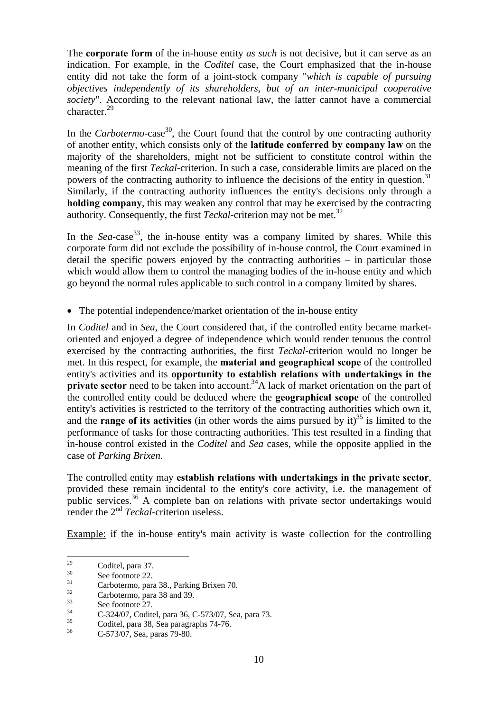The **corporate form** of the in-house entity *as such* is not decisive, but it can serve as an indication. For example, in the *Coditel* case, the Court emphasized that the in-house entity did not take the form of a joint-stock company "*which is capable of pursuing objectives independently of its shareholders, but of an inter-municipal cooperative society*". According to the relevant national law, the latter cannot have a commercial character.<sup>29</sup>

In the *Carbotermo*-case<sup>30</sup>, the Court found that the control by one contracting authority of another entity, which consists only of the **latitude conferred by company law** on the majority of the shareholders, might not be sufficient to constitute control within the meaning of the first *Teckal*-criterion. In such a case, considerable limits are placed on the powers of the contracting authority to influence the decisions of the entity in question.<sup>31</sup> Similarly, if the contracting authority influences the entity's decisions only through a **holding company**, this may weaken any control that may be exercised by the contracting authority. Consequently, the first *Teckal*-criterion may not be met.<sup>32</sup>

In the *Sea*-case<sup>33</sup>, the in-house entity was a company limited by shares. While this corporate form did not exclude the possibility of in-house control, the Court examined in detail the specific powers enjoyed by the contracting authorities – in particular those which would allow them to control the managing bodies of the in-house entity and which go beyond the normal rules applicable to such control in a company limited by shares.

• The potential independence/market orientation of the in-house entity

In *Coditel* and in *Sea*, the Court considered that, if the controlled entity became marketoriented and enjoyed a degree of independence which would render tenuous the control exercised by the contracting authorities, the first *Teckal*-criterion would no longer be met. In this respect, for example, the **material and geographical scope** of the controlled entity's activities and its **opportunity to establish relations with undertakings in the private sector** need to be taken into account.<sup>34</sup>A lack of market orientation on the part of the controlled entity could be deduced where the **geographical scope** of the controlled entity's activities is restricted to the territory of the contracting authorities which own it, and the **range of its activities** (in other words the aims pursued by it)<sup>35</sup> is limited to the performance of tasks for those contracting authorities. This test resulted in a finding that in-house control existed in the *Coditel* and *Sea* cases, while the opposite applied in the case of *Parking Brixen*.

The controlled entity may **establish relations with undertakings in the private sector**, provided these remain incidental to the entity's core activity, i.e. the management of public services.<sup>36</sup> A complete ban on relations with private sector undertakings would render the 2nd *Teckal*-criterion useless.

Example: if the in-house entity's main activity is waste collection for the controlling

<sup>29</sup>  $\frac{29}{30}$  Coditel, para 37.

 $\frac{30}{31}$  See footnote 22.

 $^{31}$  Carbotermo, para 38., Parking Brixen 70.

 $\frac{32}{33}$  Carbotermo, para 38 and 39.

 $\frac{33}{34}$  See footnote 27.

<sup>&</sup>lt;sup>34</sup> C-324/07, Coditel, para 36, C-573/07, Sea, para 73.

 $^{35}$  Coditel, para 38, Sea paragraphs 74-76.

C-573/07, Sea, paras 79-80.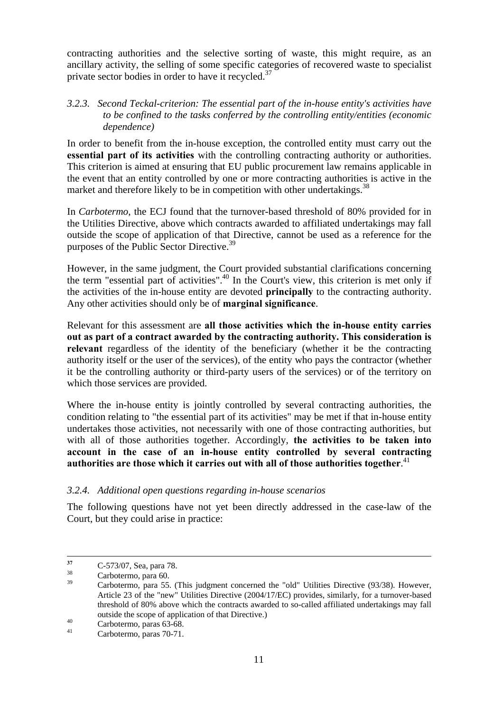contracting authorities and the selective sorting of waste, this might require, as an ancillary activity, the selling of some specific categories of recovered waste to specialist private sector bodies in order to have it recycled.<sup>37</sup>

#### <span id="page-10-0"></span>*3.2.3. Second Teckal-criterion: The essential part of the in-house entity's activities have to be confined to the tasks conferred by the controlling entity/entities (economic dependence)*

In order to benefit from the in-house exception, the controlled entity must carry out the **essential part of its activities** with the controlling contracting authority or authorities. This criterion is aimed at ensuring that EU public procurement law remains applicable in the event that an entity controlled by one or more contracting authorities is active in the market and therefore likely to be in competition with other undertakings.<sup>38</sup>

In *Carbotermo*, the ECJ found that the turnover-based threshold of 80% provided for in the Utilities Directive, above which contracts awarded to affiliated undertakings may fall outside the scope of application of that Directive, cannot be used as a reference for the purposes of the Public Sector Directive.<sup>39</sup>

However, in the same judgment, the Court provided substantial clarifications concerning the term "essential part of activities".<sup>40</sup> In the Court's view, this criterion is met only if the activities of the in-house entity are devoted **principally** to the contracting authority. Any other activities should only be of **marginal significance**.

Relevant for this assessment are **all those activities which the in-house entity carries out as part of a contract awarded by the contracting authority. This consideration is relevant** regardless of the identity of the beneficiary (whether it be the contracting authority itself or the user of the services), of the entity who pays the contractor (whether it be the controlling authority or third-party users of the services) or of the territory on which those services are provided.

Where the in-house entity is jointly controlled by several contracting authorities, the condition relating to "the essential part of its activities" may be met if that in-house entity undertakes those activities, not necessarily with one of those contracting authorities, but with all of those authorities together. Accordingly, **the activities to be taken into account in the case of an in-house entity controlled by several contracting authorities are those which it carries out with all of those authorities together**. 41

## <span id="page-10-1"></span>*3.2.4. Additional open questions regarding in-house scenarios*

The following questions have not yet been directly addressed in the case-law of the Court, but they could arise in practice:

**<sup>37</sup>** C-573/07, Sea, para 78.

 $\frac{38}{39}$  Carbotermo, para 60.

<sup>39</sup> Carbotermo, para 55. (This judgment concerned the "old" Utilities Directive (93/38). However, Article 23 of the "new" Utilities Directive (2004/17/EC) provides, similarly, for a turnover-based threshold of 80% above which the contracts awarded to so-called affiliated undertakings may fall outside the scope of application of that Directive.)<br>
Carbotermo, paras 63-68.<br>
Carbotermo, paras 63-68.

Carbotermo, paras 70-71.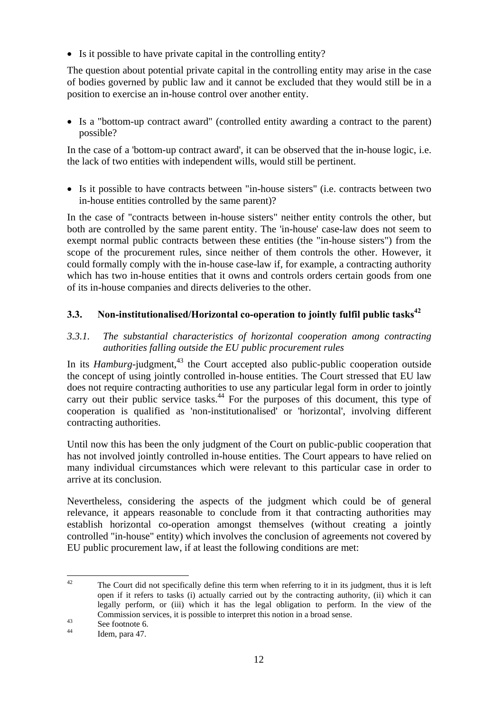• Is it possible to have private capital in the controlling entity?

The question about potential private capital in the controlling entity may arise in the case of bodies governed by public law and it cannot be excluded that they would still be in a position to exercise an in-house control over another entity.

• Is a "bottom-up contract award" (controlled entity awarding a contract to the parent) possible?

In the case of a 'bottom-up contract award', it can be observed that the in-house logic, i.e. the lack of two entities with independent wills, would still be pertinent.

• Is it possible to have contracts between "in-house sisters" (i.e. contracts between two in-house entities controlled by the same parent)?

In the case of "contracts between in-house sisters" neither entity controls the other, but both are controlled by the same parent entity. The 'in-house' case-law does not seem to exempt normal public contracts between these entities (the "in-house sisters") from the scope of the procurement rules, since neither of them controls the other. However, it could formally comply with the in-house case-law if, for example, a contracting authority which has two in-house entities that it owns and controls orders certain goods from one of its in-house companies and directs deliveries to the other.

## <span id="page-11-1"></span><span id="page-11-0"></span>**3.3.** Non-institutionalised/Horizontal co-operation to jointly fulfil public tasks<sup>42</sup>

*3.3.1. The substantial characteristics of horizontal cooperation among contracting authorities falling outside the EU public procurement rules* 

In its *Hamburg*-judgment,<sup>43</sup> the Court accepted also public-public cooperation outside the concept of using jointly controlled in-house entities. The Court stressed that EU law does not require contracting authorities to use any particular legal form in order to jointly carry out their public service tasks.<sup>44</sup> For the purposes of this document, this type of cooperation is qualified as 'non-institutionalised' or 'horizontal', involving different contracting authorities.

Until now this has been the only judgment of the Court on public-public cooperation that has not involved jointly controlled in-house entities. The Court appears to have relied on many individual circumstances which were relevant to this particular case in order to arrive at its conclusion.

Nevertheless, considering the aspects of the judgment which could be of general relevance, it appears reasonable to conclude from it that contracting authorities may establish horizontal co-operation amongst themselves (without creating a jointly controlled "in-house" entity) which involves the conclusion of agreements not covered by EU public procurement law, if at least the following conditions are met:

 $42$ The Court did not specifically define this term when referring to it in its judgment, thus it is left open if it refers to tasks (i) actually carried out by the contracting authority, (ii) which it can legally perform, or (iii) which it has the legal obligation to perform. In the view of the Commission services, it is possible to interpret this notion in a broad sense.<br>See footnote 6.<br> $\frac{43}{11}$ 

Idem, para 47.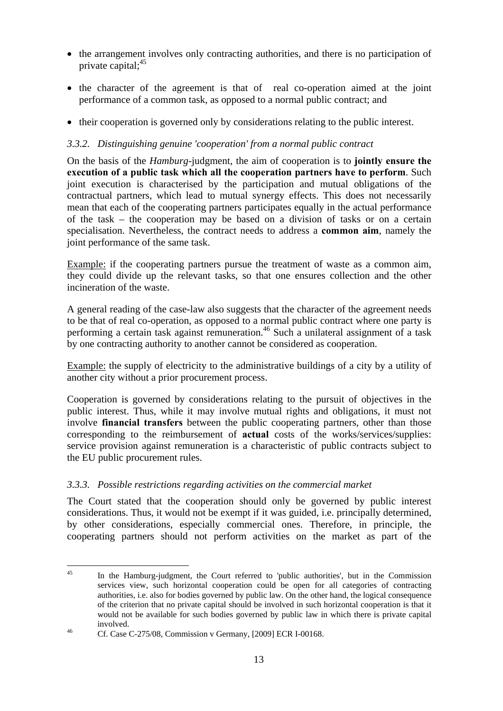- the arrangement involves only contracting authorities, and there is no participation of private capital;<sup>45</sup>
- the character of the agreement is that of real co-operation aimed at the joint performance of a common task, as opposed to a normal public contract; and
- their cooperation is governed only by considerations relating to the public interest.

## <span id="page-12-0"></span>*3.3.2. Distinguishing genuine 'cooperation' from a normal public contract*

On the basis of the *Hamburg*-judgment, the aim of cooperation is to **jointly ensure the execution of a public task which all the cooperation partners have to perform**. Such joint execution is characterised by the participation and mutual obligations of the contractual partners, which lead to mutual synergy effects. This does not necessarily mean that each of the cooperating partners participates equally in the actual performance of the task – the cooperation may be based on a division of tasks or on a certain specialisation. Nevertheless, the contract needs to address a **common aim**, namely the joint performance of the same task.

Example: if the cooperating partners pursue the treatment of waste as a common aim, they could divide up the relevant tasks, so that one ensures collection and the other incineration of the waste.

A general reading of the case-law also suggests that the character of the agreement needs to be that of real co-operation, as opposed to a normal public contract where one party is performing a certain task against remuneration.46 Such a unilateral assignment of a task by one contracting authority to another cannot be considered as cooperation.

Example: the supply of electricity to the administrative buildings of a city by a utility of another city without a prior procurement process.

Cooperation is governed by considerations relating to the pursuit of objectives in the public interest. Thus, while it may involve mutual rights and obligations, it must not involve **financial transfers** between the public cooperating partners, other than those corresponding to the reimbursement of **actual** costs of the works/services/supplies: service provision against remuneration is a characteristic of public contracts subject to the EU public procurement rules.

## <span id="page-12-1"></span>*3.3.3. Possible restrictions regarding activities on the commercial market*

The Court stated that the cooperation should only be governed by public interest considerations. Thus, it would not be exempt if it was guided, i.e. principally determined, by other considerations, especially commercial ones. Therefore, in principle, the cooperating partners should not perform activities on the market as part of the

 $45$ 45 In the Hamburg-judgment, the Court referred to 'public authorities', but in the Commission services view, such horizontal cooperation could be open for all categories of contracting authorities, i.e. also for bodies governed by public law. On the other hand, the logical consequence of the criterion that no private capital should be involved in such horizontal cooperation is that it would not be available for such bodies governed by public law in which there is private capital involved.<br> **46** Cf. Case C-275/08, Commission v Germany, [2009] ECR I-00168.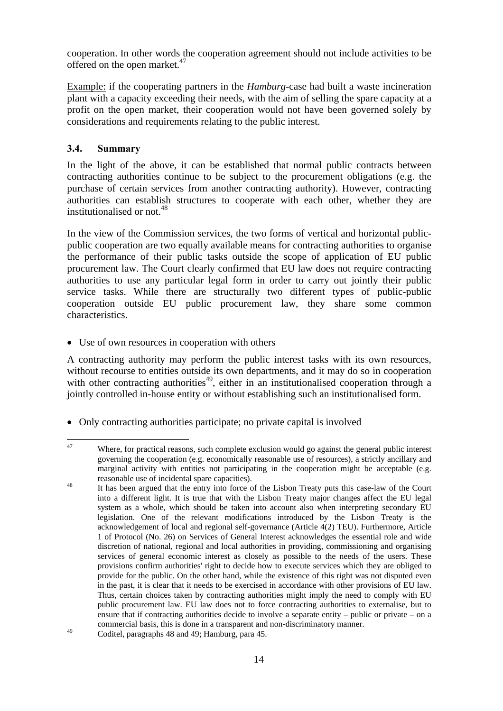cooperation. In other words the cooperation agreement should not include activities to be offered on the open market.<sup>47</sup>

Example: if the cooperating partners in the *Hamburg*-case had built a waste incineration plant with a capacity exceeding their needs, with the aim of selling the spare capacity at a profit on the open market, their cooperation would not have been governed solely by considerations and requirements relating to the public interest.

## <span id="page-13-0"></span>**3.4. Summary**

In the light of the above, it can be established that normal public contracts between contracting authorities continue to be subject to the procurement obligations (e.g. the purchase of certain services from another contracting authority). However, contracting authorities can establish structures to cooperate with each other, whether they are institutionalised or not.48

In the view of the Commission services, the two forms of vertical and horizontal publicpublic cooperation are two equally available means for contracting authorities to organise the performance of their public tasks outside the scope of application of EU public procurement law. The Court clearly confirmed that EU law does not require contracting authorities to use any particular legal form in order to carry out jointly their public service tasks. While there are structurally two different types of public-public cooperation outside EU public procurement law, they share some common characteristics.

• Use of own resources in cooperation with others

A contracting authority may perform the public interest tasks with its own resources, without recourse to entities outside its own departments, and it may do so in cooperation with other contracting authorities<sup>49</sup>, either in an institutionalised cooperation through a jointly controlled in-house entity or without establishing such an institutionalised form.

• Only contracting authorities participate; no private capital is involved

<sup>47</sup> Where, for practical reasons, such complete exclusion would go against the general public interest governing the cooperation (e.g. economically reasonable use of resources), a strictly ancillary and marginal activity with entities not participating in the cooperation might be acceptable (e.g. reasonable use of incidental spare capacities).<br><sup>48</sup> It has been argued that the entry into force of the Lisbon Treaty puts this case-law of the Court

into a different light. It is true that with the Lisbon Treaty major changes affect the EU legal system as a whole, which should be taken into account also when interpreting secondary EU legislation. One of the relevant modifications introduced by the Lisbon Treaty is the acknowledgement of local and regional self-governance (Article 4(2) TEU). Furthermore, Article 1 of Protocol (No. 26) on Services of General Interest acknowledges the essential role and wide discretion of national, regional and local authorities in providing, commissioning and organising services of general economic interest as closely as possible to the needs of the users. These provisions confirm authorities' right to decide how to execute services which they are obliged to provide for the public. On the other hand, while the existence of this right was not disputed even in the past, it is clear that it needs to be exercised in accordance with other provisions of EU law. Thus, certain choices taken by contracting authorities might imply the need to comply with EU public procurement law. EU law does not to force contracting authorities to externalise, but to ensure that if contracting authorities decide to involve a separate entity – public or private – on a commercial basis, this is done in a transparent and non-discriminatory manner.

<sup>49</sup> Coditel, paragraphs 48 and 49; Hamburg, para 45.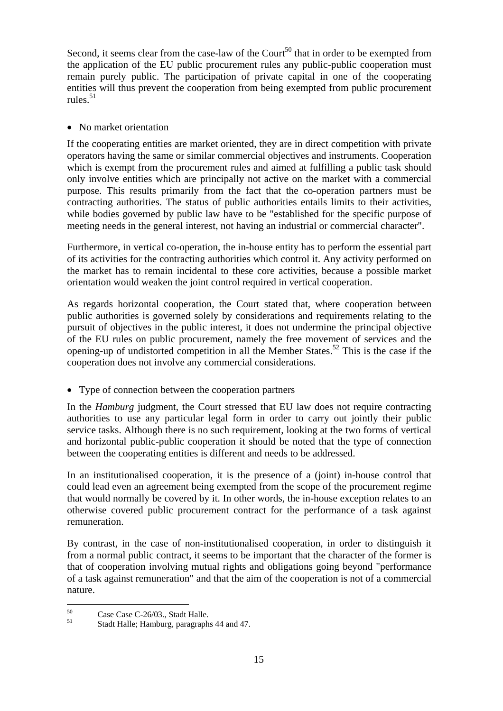Second, it seems clear from the case-law of the Court<sup>50</sup> that in order to be exempted from the application of the EU public procurement rules any public-public cooperation must remain purely public. The participation of private capital in one of the cooperating entities will thus prevent the cooperation from being exempted from public procurement rules $^{51}$ 

#### • No market orientation

If the cooperating entities are market oriented, they are in direct competition with private operators having the same or similar commercial objectives and instruments. Cooperation which is exempt from the procurement rules and aimed at fulfilling a public task should only involve entities which are principally not active on the market with a commercial purpose. This results primarily from the fact that the co-operation partners must be contracting authorities. The status of public authorities entails limits to their activities, while bodies governed by public law have to be "established for the specific purpose of meeting needs in the general interest, not having an industrial or commercial character".

Furthermore, in vertical co-operation, the in-house entity has to perform the essential part of its activities for the contracting authorities which control it. Any activity performed on the market has to remain incidental to these core activities, because a possible market orientation would weaken the joint control required in vertical cooperation.

As regards horizontal cooperation, the Court stated that, where cooperation between public authorities is governed solely by considerations and requirements relating to the pursuit of objectives in the public interest, it does not undermine the principal objective of the EU rules on public procurement, namely the free movement of services and the opening-up of undistorted competition in all the Member States.<sup>52</sup> This is the case if the cooperation does not involve any commercial considerations.

• Type of connection between the cooperation partners

In the *Hamburg* judgment, the Court stressed that EU law does not require contracting authorities to use any particular legal form in order to carry out jointly their public service tasks. Although there is no such requirement, looking at the two forms of vertical and horizontal public-public cooperation it should be noted that the type of connection between the cooperating entities is different and needs to be addressed.

In an institutionalised cooperation, it is the presence of a (joint) in-house control that could lead even an agreement being exempted from the scope of the procurement regime that would normally be covered by it. In other words, the in-house exception relates to an otherwise covered public procurement contract for the performance of a task against remuneration.

By contrast, in the case of non-institutionalised cooperation, in order to distinguish it from a normal public contract, it seems to be important that the character of the former is that of cooperation involving mutual rights and obligations going beyond "performance of a task against remuneration" and that the aim of the cooperation is not of a commercial nature.

<sup>50</sup>  $^{50}$  Case Case C-26/03., Stadt Halle.

Stadt Halle; Hamburg, paragraphs 44 and 47.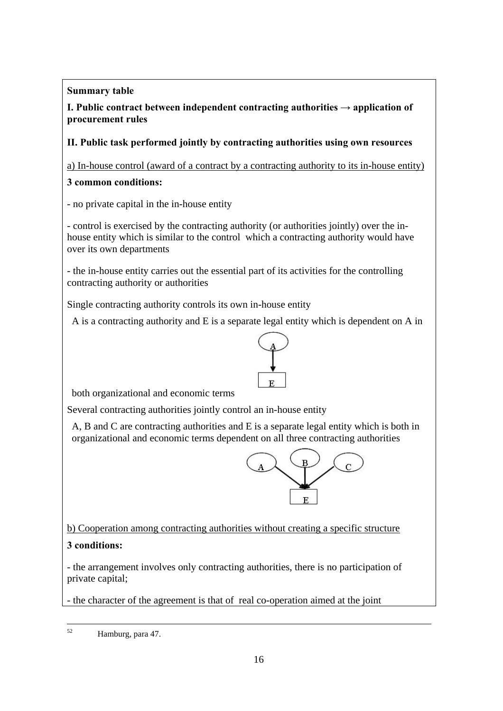**Summary table** 

**I. Public contract between independent contracting authorities**  $\rightarrow$  **application of procurement rules** 

**II. Public task performed jointly by contracting authorities using own resources** 

a) In-house control (award of a contract by a contracting authority to its in-house entity)

## **3 common conditions:**

- no private capital in the in-house entity

- control is exercised by the contracting authority (or authorities jointly) over the inhouse entity which is similar to the control which a contracting authority would have over its own departments

- the in-house entity carries out the essential part of its activities for the controlling contracting authority or authorities

Single contracting authority controls its own in-house entity

A is a contracting authority and E is a separate legal entity which is dependent on A in



both organizational and economic terms

Several contracting authorities jointly control an in-house entity

A, B and C are contracting authorities and E is a separate legal entity which is both in organizational and economic terms dependent on all three contracting authorities



b) Cooperation among contracting authorities without creating a specific structure

## **3 conditions:**

- the arrangement involves only contracting authorities, there is no participation of private capital;

- the character of the agreement is that of real co-operation aimed at the joint

 <sup>52</sup> Hamburg, para 47.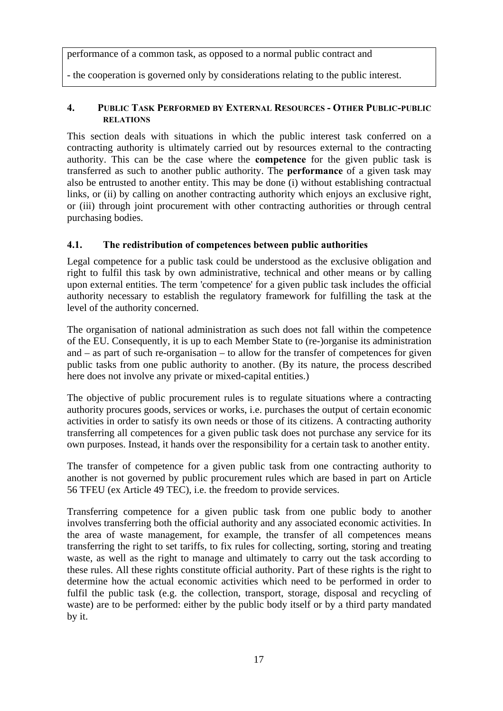performance of a common task, as opposed to a normal public contract and

- the cooperation is governed only by considerations relating to the public interest.

## <span id="page-16-0"></span>**4. PUBLIC TASK PERFORMED BY EXTERNAL RESOURCES - OTHER PUBLIC-PUBLIC RELATIONS**

This section deals with situations in which the public interest task conferred on a contracting authority is ultimately carried out by resources external to the contracting authority. This can be the case where the **competence** for the given public task is transferred as such to another public authority. The **performance** of a given task may also be entrusted to another entity. This may be done (i) without establishing contractual links, or (ii) by calling on another contracting authority which enjoys an exclusive right, or (iii) through joint procurement with other contracting authorities or through central purchasing bodies.

## <span id="page-16-1"></span>**4.1. The redistribution of competences between public authorities**

Legal competence for a public task could be understood as the exclusive obligation and right to fulfil this task by own administrative, technical and other means or by calling upon external entities. The term 'competence' for a given public task includes the official authority necessary to establish the regulatory framework for fulfilling the task at the level of the authority concerned.

The organisation of national administration as such does not fall within the competence of the EU. Consequently, it is up to each Member State to (re-)organise its administration and – as part of such re-organisation – to allow for the transfer of competences for given public tasks from one public authority to another. (By its nature, the process described here does not involve any private or mixed-capital entities.)

The objective of public procurement rules is to regulate situations where a contracting authority procures goods, services or works, i.e. purchases the output of certain economic activities in order to satisfy its own needs or those of its citizens. A contracting authority transferring all competences for a given public task does not purchase any service for its own purposes. Instead, it hands over the responsibility for a certain task to another entity.

The transfer of competence for a given public task from one contracting authority to another is not governed by public procurement rules which are based in part on Article 56 TFEU (ex Article 49 TEC), i.e. the freedom to provide services.

Transferring competence for a given public task from one public body to another involves transferring both the official authority and any associated economic activities. In the area of waste management, for example, the transfer of all competences means transferring the right to set tariffs, to fix rules for collecting, sorting, storing and treating waste, as well as the right to manage and ultimately to carry out the task according to these rules. All these rights constitute official authority. Part of these rights is the right to determine how the actual economic activities which need to be performed in order to fulfil the public task (e.g. the collection, transport, storage, disposal and recycling of waste) are to be performed: either by the public body itself or by a third party mandated by it.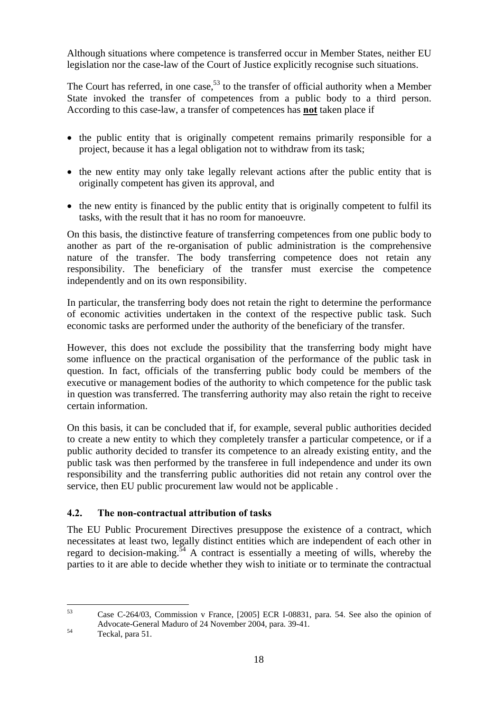Although situations where competence is transferred occur in Member States, neither EU legislation nor the case-law of the Court of Justice explicitly recognise such situations.

The Court has referred, in one case,  $5<sup>3</sup>$  to the transfer of official authority when a Member State invoked the transfer of competences from a public body to a third person. According to this case-law, a transfer of competences has **not** taken place if

- the public entity that is originally competent remains primarily responsible for a project, because it has a legal obligation not to withdraw from its task;
- the new entity may only take legally relevant actions after the public entity that is originally competent has given its approval, and
- the new entity is financed by the public entity that is originally competent to fulfil its tasks, with the result that it has no room for manoeuvre.

On this basis, the distinctive feature of transferring competences from one public body to another as part of the re-organisation of public administration is the comprehensive nature of the transfer. The body transferring competence does not retain any responsibility. The beneficiary of the transfer must exercise the competence independently and on its own responsibility.

In particular, the transferring body does not retain the right to determine the performance of economic activities undertaken in the context of the respective public task. Such economic tasks are performed under the authority of the beneficiary of the transfer.

However, this does not exclude the possibility that the transferring body might have some influence on the practical organisation of the performance of the public task in question. In fact, officials of the transferring public body could be members of the executive or management bodies of the authority to which competence for the public task in question was transferred. The transferring authority may also retain the right to receive certain information.

On this basis, it can be concluded that if, for example, several public authorities decided to create a new entity to which they completely transfer a particular competence, or if a public authority decided to transfer its competence to an already existing entity, and the public task was then performed by the transferee in full independence and under its own responsibility and the transferring public authorities did not retain any control over the service, then EU public procurement law would not be applicable .

## <span id="page-17-0"></span>**4.2. The non-contractual attribution of tasks**

The EU Public Procurement Directives presuppose the existence of a contract, which necessitates at least two, legally distinct entities which are independent of each other in regard to decision-making.<sup>54</sup> A contract is essentially a meeting of wills, whereby the parties to it are able to decide whether they wish to initiate or to terminate the contractual

<sup>53</sup> Case C-264/03, Commission v France, [2005] ECR I-08831, para. 54. See also the opinion of Advocate-General Maduro of 24 November 2004, para. 39-41.<br>Teckal, para 51.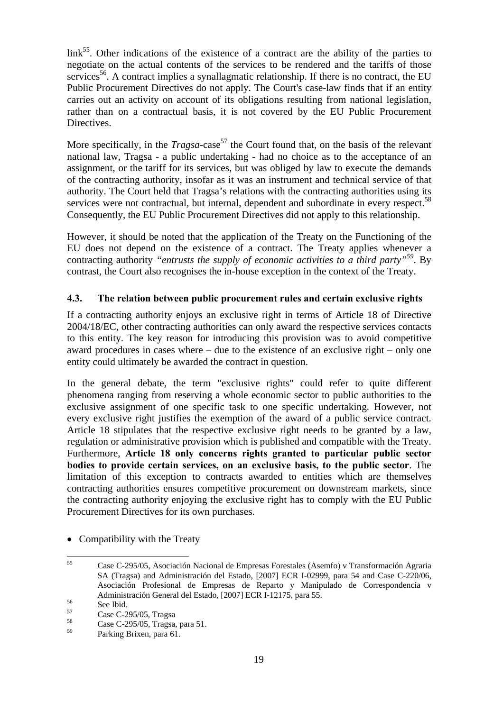$link<sup>55</sup>$ . Other indications of the existence of a contract are the ability of the parties to negotiate on the actual contents of the services to be rendered and the tariffs of those services<sup>56</sup>. A contract implies a synallagmatic relationship. If there is no contract, the EU Public Procurement Directives do not apply. The Court's case-law finds that if an entity carries out an activity on account of its obligations resulting from national legislation, rather than on a contractual basis, it is not covered by the EU Public Procurement Directives.

More specifically, in the *Tragsa*-case<sup>57</sup> the Court found that, on the basis of the relevant national law, Tragsa - a public undertaking - had no choice as to the acceptance of an assignment, or the tariff for its services, but was obliged by law to execute the demands of the contracting authority, insofar as it was an instrument and technical service of that authority. The Court held that Tragsa's relations with the contracting authorities using its services were not contractual, but internal, dependent and subordinate in every respect.<sup>58</sup> Consequently, the EU Public Procurement Directives did not apply to this relationship.

However, it should be noted that the application of the Treaty on the Functioning of the EU does not depend on the existence of a contract. The Treaty applies whenever a contracting authority *"entrusts the supply of economic activities to a third party"<sup>59</sup>*. By contrast, the Court also recognises the in-house exception in the context of the Treaty.

## <span id="page-18-0"></span>**4.3. The relation between public procurement rules and certain exclusive rights**

If a contracting authority enjoys an exclusive right in terms of Article 18 of Directive 2004/18/EC, other contracting authorities can only award the respective services contacts to this entity. The key reason for introducing this provision was to avoid competitive award procedures in cases where – due to the existence of an exclusive right – only one entity could ultimately be awarded the contract in question.

In the general debate, the term "exclusive rights" could refer to quite different phenomena ranging from reserving a whole economic sector to public authorities to the exclusive assignment of one specific task to one specific undertaking. However, not every exclusive right justifies the exemption of the award of a public service contract. Article 18 stipulates that the respective exclusive right needs to be granted by a law, regulation or administrative provision which is published and compatible with the Treaty. Furthermore, **Article 18 only concerns rights granted to particular public sector bodies to provide certain services, on an exclusive basis, to the public sector**. The limitation of this exception to contracts awarded to entities which are themselves contracting authorities ensures competitive procurement on downstream markets, since the contracting authority enjoying the exclusive right has to comply with the EU Public Procurement Directives for its own purchases.

• Compatibility with the Treaty

<sup>55</sup> 55 Case C-295/05, Asociación Nacional de Empresas Forestales (Asemfo) v Transformación Agraria SA (Tragsa) and Administración del Estado, [2007] ECR I-02999, para 54 and Case C-220/06, Asociación Profesional de Empresas de Reparto y Manipulado de Correspondencia v Administración General del Estado, [2007] ECR I-12175, para 55.<br>See Ibid.<br>S<sup>57</sup> See Ibid.

 $\frac{57}{58}$  Case C-295/05, Tragsa

<sup>&</sup>lt;sup>58</sup> Case C-295/05, Tragsa, para 51.

Parking Brixen, para 61.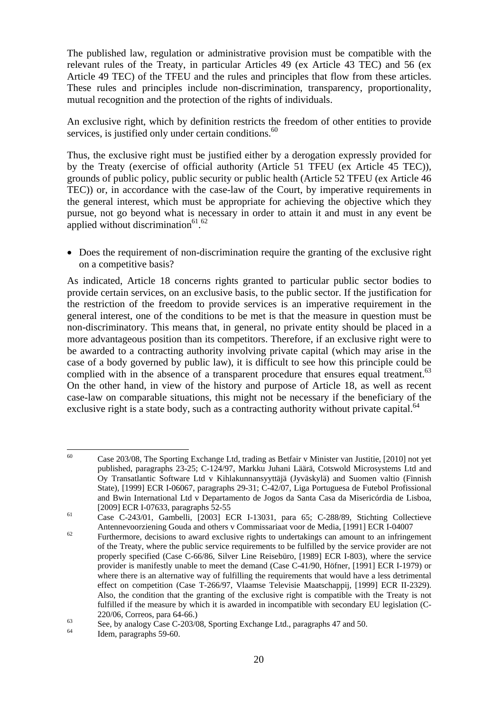The published law, regulation or administrative provision must be compatible with the relevant rules of the Treaty, in particular Articles 49 (ex Article 43 TEC) and 56 (ex Article 49 TEC) of the TFEU and the rules and principles that flow from these articles. These rules and principles include non-discrimination, transparency, proportionality, mutual recognition and the protection of the rights of individuals.

An exclusive right, which by definition restricts the freedom of other entities to provide services, is justified only under certain conditions.<sup>60</sup>

Thus, the exclusive right must be justified either by a derogation expressly provided for by the Treaty (exercise of official authority (Article 51 TFEU (ex Article 45 TEC)), grounds of public policy, public security or public health (Article 52 TFEU (ex Article 46 TEC)) or, in accordance with the case-law of the Court, by imperative requirements in the general interest, which must be appropriate for achieving the objective which they pursue, not go beyond what is necessary in order to attain it and must in any event be applied without discrimination $61.62$ 

• Does the requirement of non-discrimination require the granting of the exclusive right on a competitive basis?

As indicated, Article 18 concerns rights granted to particular public sector bodies to provide certain services, on an exclusive basis, to the public sector. If the justification for the restriction of the freedom to provide services is an imperative requirement in the general interest, one of the conditions to be met is that the measure in question must be non-discriminatory. This means that, in general, no private entity should be placed in a more advantageous position than its competitors. Therefore, if an exclusive right were to be awarded to a contracting authority involving private capital (which may arise in the case of a body governed by public law), it is difficult to see how this principle could be complied with in the absence of a transparent procedure that ensures equal treatment.<sup>63</sup> On the other hand, in view of the history and purpose of Article 18, as well as recent case-law on comparable situations, this might not be necessary if the beneficiary of the exclusive right is a state body, such as a contracting authority without private capital. $^{64}$ 

 $60$ 60 Case 203/08, The Sporting Exchange Ltd, trading as Betfair v Minister van Justitie, [2010] not yet published, paragraphs 23-25; C-124/97, Markku Juhani Läärä, Cotswold Microsystems Ltd and Oy Transatlantic Software Ltd v Kihlakunnansyyttäjä (Jyväskylä) and Suomen valtio (Finnish State), [1999] ECR I-06067, paragraphs 29-31; C-42/07, Liga Portuguesa de Futebol Profissional and Bwin International Ltd v Departamento de Jogos da Santa Casa da Misericórdia de Lisboa, [2009] ECR I-07633, paragraphs 52-55<br>
Case C-243/01, Gambelli, [2003] ECR I-13031, para 65; C-288/89, Stichting Collectieve

Antennevoorziening Gouda and others v Commissariaat voor de Media, [1991] ECR I-04007<br>Furthermore, decisions to award exclusive rights to undertakings can amount to an infringement of the Treaty, where the public service requirements to be fulfilled by the service provider are not properly specified (Case C-66/86, Silver Line Reisebüro, [1989] ECR I-803), where the service provider is manifestly unable to meet the demand (Case C-41/90, Höfner, [1991] ECR I-1979) or where there is an alternative way of fulfilling the requirements that would have a less detrimental effect on competition (Case T-266/97, Vlaamse Televisie Maatschappij, [1999] ECR II-2329). Also, the condition that the granting of the exclusive right is compatible with the Treaty is not fulfilled if the measure by which it is awarded in incompatible with secondary EU legislation (C-

<sup>220/06,</sup> Correos, para 64-66.)<br>
See, by analogy Case C-203/08, Sporting Exchange Ltd., paragraphs 47 and 50.<br>  $\frac{64}{50}$ 

Idem, paragraphs 59-60.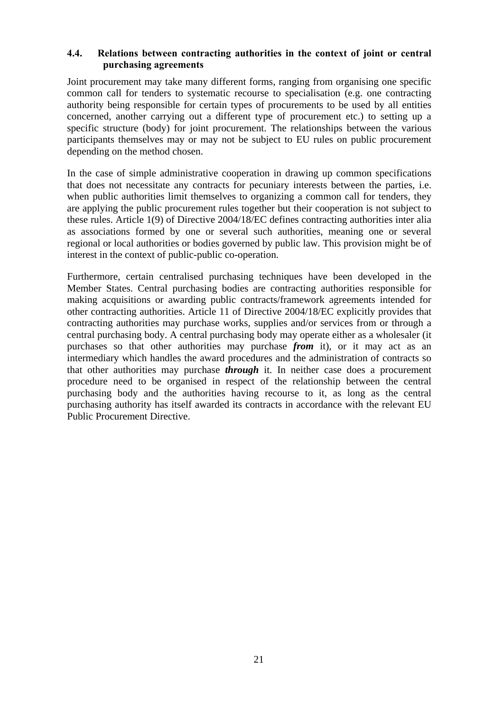### <span id="page-20-0"></span>**4.4. Relations between contracting authorities in the context of joint or central purchasing agreements**

Joint procurement may take many different forms, ranging from organising one specific common call for tenders to systematic recourse to specialisation (e.g. one contracting authority being responsible for certain types of procurements to be used by all entities concerned, another carrying out a different type of procurement etc.) to setting up a specific structure (body) for joint procurement. The relationships between the various participants themselves may or may not be subject to EU rules on public procurement depending on the method chosen.

In the case of simple administrative cooperation in drawing up common specifications that does not necessitate any contracts for pecuniary interests between the parties, i.e. when public authorities limit themselves to organizing a common call for tenders, they are applying the public procurement rules together but their cooperation is not subject to these rules. Article 1(9) of Directive 2004/18/EC defines contracting authorities inter alia as associations formed by one or several such authorities, meaning one or several regional or local authorities or bodies governed by public law. This provision might be of interest in the context of public-public co-operation.

Furthermore, certain centralised purchasing techniques have been developed in the Member States. Central purchasing bodies are contracting authorities responsible for making acquisitions or awarding public contracts/framework agreements intended for other contracting authorities. Article 11 of Directive 2004/18/EC explicitly provides that contracting authorities may purchase works, supplies and/or services from or through a central purchasing body. A central purchasing body may operate either as a wholesaler (it purchases so that other authorities may purchase *from* it), or it may act as an intermediary which handles the award procedures and the administration of contracts so that other authorities may purchase *through* it. In neither case does a procurement procedure need to be organised in respect of the relationship between the central purchasing body and the authorities having recourse to it, as long as the central purchasing authority has itself awarded its contracts in accordance with the relevant EU Public Procurement Directive.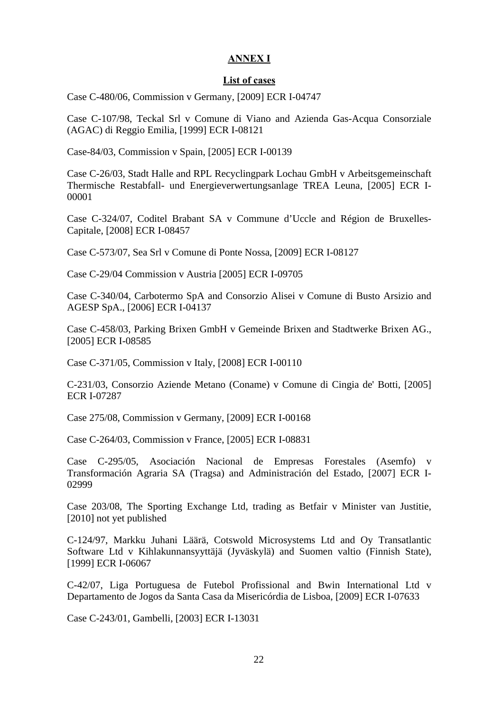#### **ANNEX I**

#### **List of cases**

Case C-480/06, Commission v Germany, [2009] ECR I-04747

Case C-107/98, Teckal Srl v Comune di Viano and Azienda Gas-Acqua Consorziale (AGAC) di Reggio Emilia, [1999] ECR I-08121

Case-84/03, Commission v Spain, [2005] ECR I-00139

Case C-26/03, Stadt Halle and RPL Recyclingpark Lochau GmbH v Arbeitsgemeinschaft Thermische Restabfall- und Energieverwertungsanlage TREA Leuna, [2005] ECR I-00001

Case C-324/07, Coditel Brabant SA v Commune d'Uccle and Région de Bruxelles-Capitale, [2008] ECR I-08457

Case C-573/07, Sea Srl v Comune di Ponte Nossa, [2009] ECR I-08127

Case C-29/04 Commission v Austria [2005] ECR I-09705

Case C-340/04, Carbotermo SpA and Consorzio Alisei v Comune di Busto Arsizio and AGESP SpA., [2006] ECR I-04137

Case C-458/03, Parking Brixen GmbH v Gemeinde Brixen and Stadtwerke Brixen AG., [2005] ECR I-08585

Case C-371/05, Commission v Italy, [2008] ECR I-00110

C-231/03, Consorzio Aziende Metano (Coname) v Comune di Cingia de' Botti, [2005] ECR I-07287

Case 275/08, Commission v Germany, [2009] ECR I-00168

Case C-264/03, Commission v France, [2005] ECR I-08831

Case C-295/05, Asociación Nacional de Empresas Forestales (Asemfo) v Transformación Agraria SA (Tragsa) and Administración del Estado, [2007] ECR I-02999

Case 203/08, The Sporting Exchange Ltd, trading as Betfair v Minister van Justitie, [2010] not yet published

C-124/97, Markku Juhani Läärä, Cotswold Microsystems Ltd and Oy Transatlantic Software Ltd v Kihlakunnansyyttäjä (Jyväskylä) and Suomen valtio (Finnish State), [1999] ECR I-06067

C-42/07, Liga Portuguesa de Futebol Profissional and Bwin International Ltd v Departamento de Jogos da Santa Casa da Misericórdia de Lisboa, [2009] ECR I-07633

Case C-243/01, Gambelli, [2003] ECR I-13031